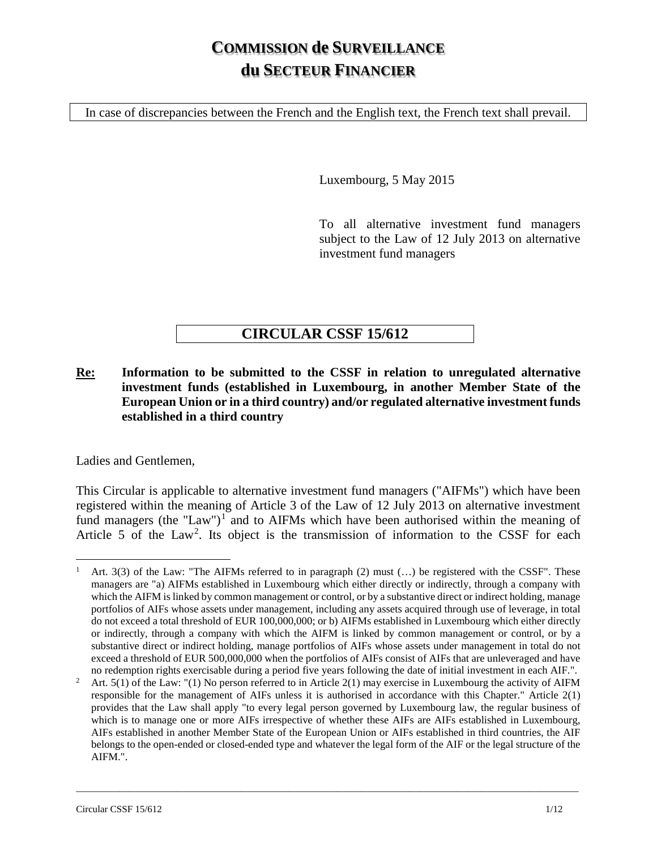# **COMMISSION de SURVEILLANCE du SECTEUR FINANCIER**

In case of discrepancies between the French and the English text, the French text shall prevail.

Luxembourg, 5 May 2015

To all alternative investment fund managers subject to the Law of 12 July 2013 on alternative investment fund managers

# **CIRCULAR CSSF 15/612**

**Re: Information to be submitted to the CSSF in relation to unregulated alternative investment funds (established in Luxembourg, in another Member State of the European Union or in a third country) and/or regulated alternative investment funds established in a third country**

Ladies and Gentlemen,

This Circular is applicable to alternative investment fund managers ("AIFMs") which have been registered within the meaning of Article 3 of the Law of 12 July 2013 on alternative investment fund managers (the "Law")<sup>[1](#page-0-0)</sup> and to AIFMs which have been authorised within the meaning of Article 5 of the Law<sup>[2](#page-0-1)</sup>. Its object is the transmission of information to the CSSF for each

<span id="page-0-0"></span><sup>&</sup>lt;sup>1</sup> Art. 3(3) of the Law: "The AIFMs referred to in paragraph (2) must  $(...)$  be registered with the CSSF". These managers are "a) AIFMs established in Luxembourg which either directly or indirectly, through a company with which the AIFM is linked by common management or control, or by a substantive direct or indirect holding, manage portfolios of AIFs whose assets under management, including any assets acquired through use of leverage, in total do not exceed a total threshold of EUR 100,000,000; or b) AIFMs established in Luxembourg which either directly or indirectly, through a company with which the AIFM is linked by common management or control, or by a substantive direct or indirect holding, manage portfolios of AIFs whose assets under management in total do not exceed a threshold of EUR 500,000,000 when the portfolios of AIFs consist of AIFs that are unleveraged and have

<span id="page-0-1"></span>no redemption rights exercisable during a period five years following the date of initial investment in each AIF.".<br><sup>2</sup> Art. 5(1) of the Law: "(1) No person referred to in Article 2(1) may exercise in Luxembourg the activ responsible for the management of AIFs unless it is authorised in accordance with this Chapter." Article 2(1) provides that the Law shall apply "to every legal person governed by Luxembourg law, the regular business of which is to manage one or more AIFs irrespective of whether these AIFs are AIFs established in Luxembourg, AIFs established in another Member State of the European Union or AIFs established in third countries, the AIF belongs to the open-ended or closed-ended type and whatever the legal form of the AIF or the legal structure of the AIFM.".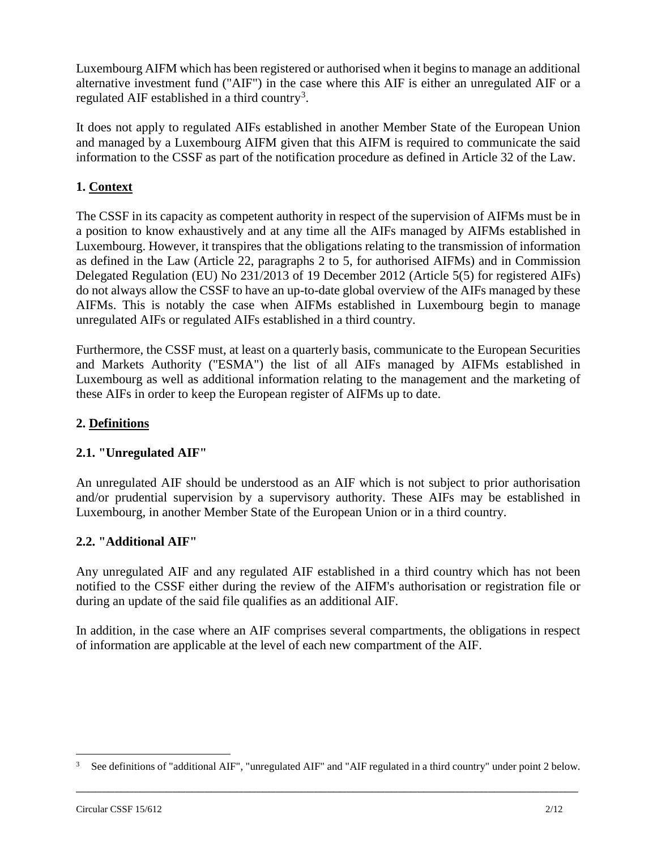Luxembourg AIFM which has been registered or authorised when it begins to manage an additional alternative investment fund ("AIF") in the case where this AIF is either an unregulated AIF or a regulated AIF established in a third country<sup>[3](#page-1-0)</sup>.

It does not apply to regulated AIFs established in another Member State of the European Union and managed by a Luxembourg AIFM given that this AIFM is required to communicate the said information to the CSSF as part of the notification procedure as defined in Article 32 of the Law.

# **1. Context**

The CSSF in its capacity as competent authority in respect of the supervision of AIFMs must be in a position to know exhaustively and at any time all the AIFs managed by AIFMs established in Luxembourg. However, it transpires that the obligations relating to the transmission of information as defined in the Law (Article 22, paragraphs 2 to 5, for authorised AIFMs) and in Commission Delegated Regulation (EU) No 231/2013 of 19 December 2012 (Article 5(5) for registered AIFs) do not always allow the CSSF to have an up-to-date global overview of the AIFs managed by these AIFMs. This is notably the case when AIFMs established in Luxembourg begin to manage unregulated AIFs or regulated AIFs established in a third country.

Furthermore, the CSSF must, at least on a quarterly basis, communicate to the European Securities and Markets Authority ("ESMA") the list of all AIFs managed by AIFMs established in Luxembourg as well as additional information relating to the management and the marketing of these AIFs in order to keep the European register of AIFMs up to date.

## **2. Definitions**

## **2.1. "Unregulated AIF"**

An unregulated AIF should be understood as an AIF which is not subject to prior authorisation and/or prudential supervision by a supervisory authority. These AIFs may be established in Luxembourg, in another Member State of the European Union or in a third country.

## **2.2. "Additional AIF"**

Any unregulated AIF and any regulated AIF established in a third country which has not been notified to the CSSF either during the review of the AIFM's authorisation or registration file or during an update of the said file qualifies as an additional AIF.

In addition, in the case where an AIF comprises several compartments, the obligations in respect of information are applicable at the level of each new compartment of the AIF.

<span id="page-1-0"></span>\_\_\_\_\_\_\_\_\_\_\_\_\_\_\_\_\_\_\_\_\_\_\_\_\_\_\_\_\_\_\_\_\_\_\_\_\_\_\_\_\_\_\_\_\_\_\_\_\_\_\_\_\_\_\_\_\_\_\_\_\_\_\_\_\_\_\_\_\_\_\_\_\_\_\_\_\_\_ See definitions of "additional AIF", "unregulated AIF" and "AIF regulated in a third country" under point 2 below.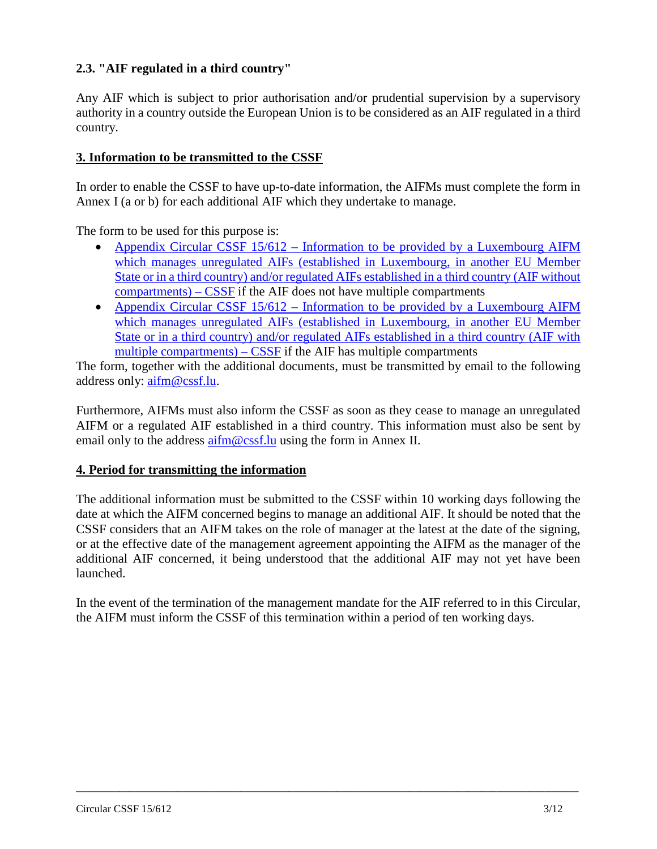# **2.3. "AIF regulated in a third country"**

Any AIF which is subject to prior authorisation and/or prudential supervision by a supervisory authority in a country outside the European Union is to be considered as an AIF regulated in a third country.

## **3. Information to be transmitted to the CSSF**

In order to enable the CSSF to have up-to-date information, the AIFMs must complete the form in Annex I (a or b) for each additional AIF which they undertake to manage.

The form to be used for this purpose is:

- Appendix Circular CSSF 15/612 Information to be provided by a Luxembourg AIFM [which manages unregulated AIFs \(established in Luxembourg, in another EU Member](https://www.cssf.lu/en/Document/appendix-circular-cssf-15-612-information-to-be-provided-by-a-luxembourg-aifm-which-manages-unregulated-aifs-established-in-luxembourg-in-another-eu-member-state-or-in-a-third-country-and-or-regu/)  [State or in a third country\) and/or regulated AIFs](https://www.cssf.lu/en/Document/appendix-circular-cssf-15-612-information-to-be-provided-by-a-luxembourg-aifm-which-manages-unregulated-aifs-established-in-luxembourg-in-another-eu-member-state-or-in-a-third-country-and-or-regu/) established in a third country (AIF without [compartments\) –](https://www.cssf.lu/en/Document/appendix-circular-cssf-15-612-information-to-be-provided-by-a-luxembourg-aifm-which-manages-unregulated-aifs-established-in-luxembourg-in-another-eu-member-state-or-in-a-third-country-and-or-regu/) CSSF if the AIF does not have multiple compartments
- Appendix Circular CSSF 15/612 Information to be provided by a Luxembourg AIFM [which manages unregulated AIFs \(established in Luxembourg, in another EU](https://www.cssf.lu/en/Document/appendix-circular-cssf-15-612-information-to-be-provided-by-a-luxembourg-aifm-which-manages-unregulated-aifs-established-in-luxembourg-in-another-eu-member-state-or-in-a-third-country-and-or-regu-2/) Member [State or in a third country\) and/or regulated AIFs established in a third country \(AIF with](https://www.cssf.lu/en/Document/appendix-circular-cssf-15-612-information-to-be-provided-by-a-luxembourg-aifm-which-manages-unregulated-aifs-established-in-luxembourg-in-another-eu-member-state-or-in-a-third-country-and-or-regu-2/)  [multiple compartments\) –](https://www.cssf.lu/en/Document/appendix-circular-cssf-15-612-information-to-be-provided-by-a-luxembourg-aifm-which-manages-unregulated-aifs-established-in-luxembourg-in-another-eu-member-state-or-in-a-third-country-and-or-regu-2/) CSSF if the AIF has multiple compartments

The form, together with the additional documents, must be transmitted by email to the following address only: [aifm@cssf.lu.](mailto:aifm@cssf.lu)

Furthermore, AIFMs must also inform the CSSF as soon as they cease to manage an unregulated AIFM or a regulated AIF established in a third country. This information must also be sent by email only to the address  $\frac{\text{aifm}\omega}{\text{cssf}}$ . In using the form in Annex II.

#### **4. Period for transmitting the information**

The additional information must be submitted to the CSSF within 10 working days following the date at which the AIFM concerned begins to manage an additional AIF. It should be noted that the CSSF considers that an AIFM takes on the role of manager at the latest at the date of the signing, or at the effective date of the management agreement appointing the AIFM as the manager of the additional AIF concerned, it being understood that the additional AIF may not yet have been launched.

In the event of the termination of the management mandate for the AIF referred to in this Circular, the AIFM must inform the CSSF of this termination within a period of ten working days.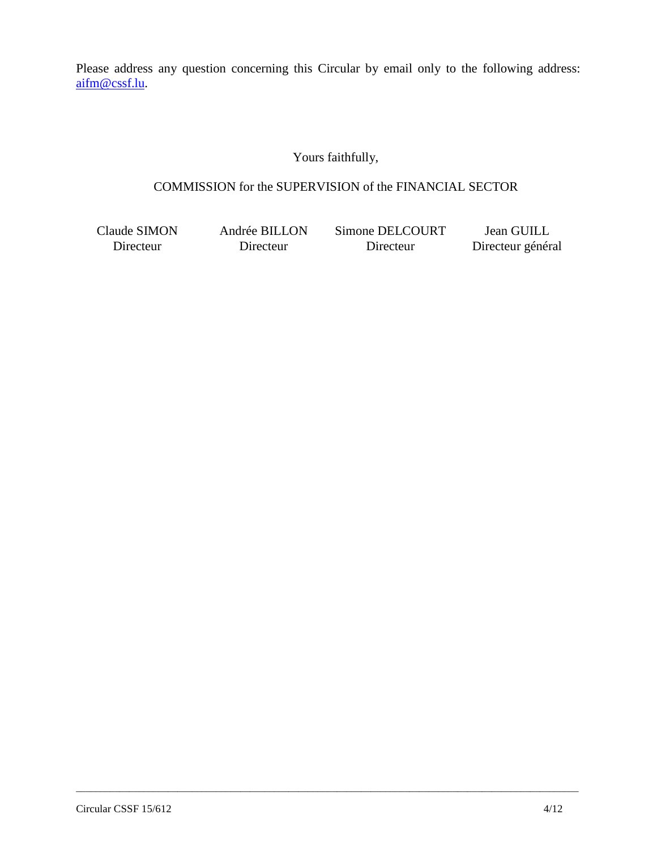Please address any question concerning this Circular by email only to the following address: [aifm@cssf.lu.](mailto:aifm@cssf.lu)

# Yours faithfully,

# COMMISSION for the SUPERVISION of the FINANCIAL SECTOR

\_\_\_\_\_\_\_\_\_\_\_\_\_\_\_\_\_\_\_\_\_\_\_\_\_\_\_\_\_\_\_\_\_\_\_\_\_\_\_\_\_\_\_\_\_\_\_\_\_\_\_\_\_\_\_\_\_\_\_\_\_\_\_\_\_\_\_\_\_\_\_\_\_\_\_\_\_\_\_\_\_\_\_\_\_\_\_\_\_\_\_\_\_\_\_\_\_\_\_\_\_\_\_\_

Claude SIMON Directeur

Andrée BILLON Directeur

Simone DELCOURT Directeur

Jean GUILL Directeur général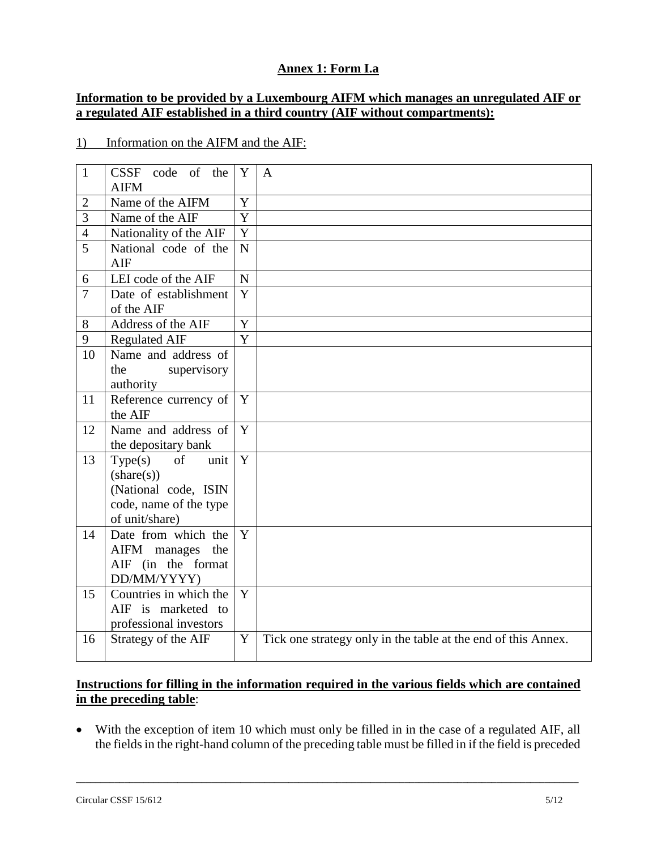# **Annex 1: Form I.a**

## **Information to be provided by a Luxembourg AIFM which manages an unregulated AIF or a regulated AIF established in a third country (AIF without compartments):**

#### 1) Information on the AIFM and the AIF:

| $\mathbf{1}$   | code of the<br><b>CSSF</b><br><b>AIFM</b>  | Y              | $\overline{A}$                                                |
|----------------|--------------------------------------------|----------------|---------------------------------------------------------------|
| $\overline{2}$ | Name of the AIFM                           | $\mathbf Y$    |                                                               |
| 3              | Name of the AIF                            | Y              |                                                               |
| $\overline{4}$ | Nationality of the AIF                     | Y              |                                                               |
| 5              | National code of the<br>AIF                | $\mathbf N$    |                                                               |
| 6              | LEI code of the AIF                        | $\mathbf N$    |                                                               |
| $\overline{7}$ | Date of establishment<br>of the AIF        | Y              |                                                               |
| 8              | Address of the AIF                         | Y              |                                                               |
| 9              | <b>Regulated AIF</b>                       | $\overline{Y}$ |                                                               |
| 10             | Name and address of                        |                |                                                               |
|                | the<br>supervisory<br>authority            |                |                                                               |
| 11             | Reference currency of                      | Y              |                                                               |
|                | the AIF                                    |                |                                                               |
| 12             | Name and address of<br>the depositary bank | Y              |                                                               |
| 13             | Type(s)<br><sub>of</sub><br>unit           | Y              |                                                               |
|                | $(\text{share}(s))$                        |                |                                                               |
|                | (National code, ISIN                       |                |                                                               |
|                | code, name of the type                     |                |                                                               |
|                | of unit/share)                             |                |                                                               |
| 14             | Date from which the                        | Y              |                                                               |
|                | AIFM manages the                           |                |                                                               |
|                | AIF (in the format                         |                |                                                               |
|                | DD/MM/YYYY)                                |                |                                                               |
| 15             | Countries in which the                     | Y              |                                                               |
|                | AIF is marketed to                         |                |                                                               |
|                | professional investors                     |                |                                                               |
| 16             | Strategy of the AIF                        | Y              | Tick one strategy only in the table at the end of this Annex. |

# **Instructions for filling in the information required in the various fields which are contained in the preceding table**:

• With the exception of item 10 which must only be filled in in the case of a regulated AIF, all the fields in the right-hand column of the preceding table must be filled in if the field is preceded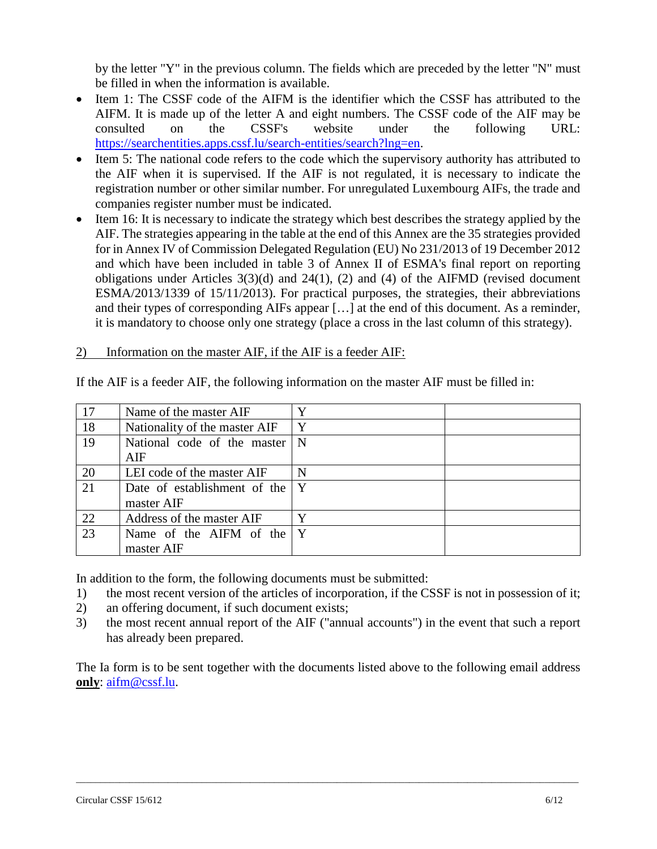by the letter "Y" in the previous column. The fields which are preceded by the letter "N" must be filled in when the information is available.

- Item 1: The CSSF code of the AIFM is the identifier which the CSSF has attributed to the AIFM. It is made up of the letter A and eight numbers. The CSSF code of the AIF may be consulted on the CSSF's website under the following URL: https://searchentities.apps.cssf.lu/search-entities/search?lng=en.
- Item 5: The national code refers to the code which the supervisory authority has attributed to the AIF when it is supervised. If the AIF is not regulated, it is necessary to indicate the registration number or other similar number. For unregulated Luxembourg AIFs, the trade and companies register number must be indicated.
- Item 16: It is necessary to indicate the strategy which best describes the strategy applied by the AIF. The strategies appearing in the table at the end of this Annex are the 35 strategies provided for in Annex IV of Commission Delegated Regulation (EU) No 231/2013 of 19 December 2012 and which have been included in table 3 of Annex II of ESMA's final report on reporting obligations under Articles 3(3)(d) and 24(1), (2) and (4) of the AIFMD (revised document ESMA/2013/1339 of 15/11/2013). For practical purposes, the strategies, their abbreviations and their types of corresponding AIFs appear […] at the end of this document. As a reminder, it is mandatory to choose only one strategy (place a cross in the last column of this strategy).

#### 2) Information on the master AIF, if the AIF is a feeder AIF:

| 17 | Name of the master AIF                     | $\mathbf{v}$ |  |
|----|--------------------------------------------|--------------|--|
| 18 | Nationality of the master AIF              | Y            |  |
| 19 | National code of the master<br>AIF         | $\mathbf N$  |  |
| 20 | LEI code of the master AIF                 | N            |  |
| 21 | Date of establishment of the<br>master AIF | Y            |  |
| 22 | Address of the master AIF                  | Y            |  |
| 23 | Name of the AIFM of the<br>master AIF      | Y            |  |

If the AIF is a feeder AIF, the following information on the master AIF must be filled in:

In addition to the form, the following documents must be submitted:

- 1) the most recent version of the articles of incorporation, if the CSSF is not in possession of it;
- 2) an offering document, if such document exists;
- 3) the most recent annual report of the AIF ("annual accounts") in the event that such a report has already been prepared.

The Ia form is to be sent together with the documents listed above to the following email address **only**: [aifm@cssf.lu.](mailto:aifm@cssf.lu)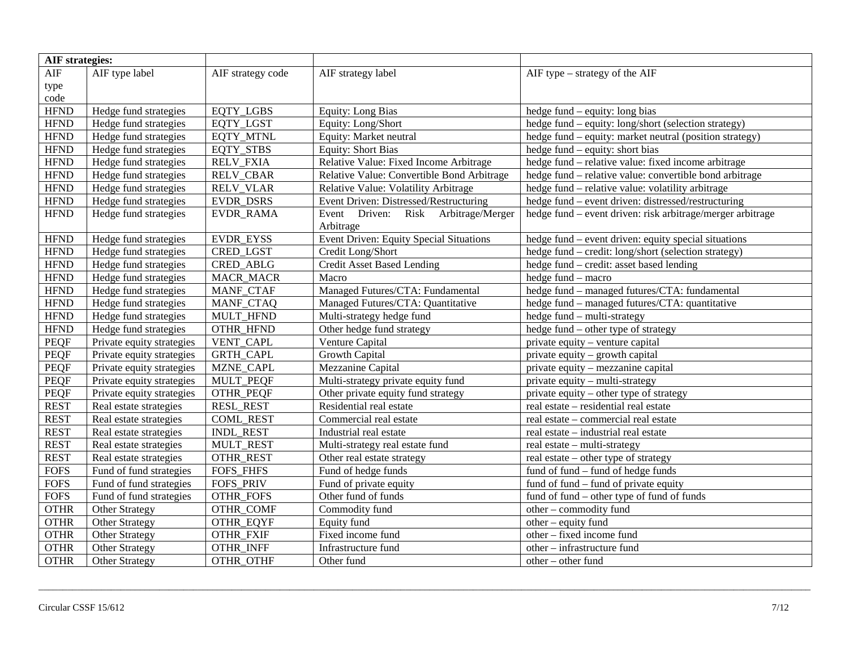| <b>AIF</b> strategies: |                           |                   |                                            |                                                            |
|------------------------|---------------------------|-------------------|--------------------------------------------|------------------------------------------------------------|
| <b>AIF</b>             | AIF type label            | AIF strategy code | AIF strategy label                         | AIF type – strategy of the AIF                             |
| type                   |                           |                   |                                            |                                                            |
| code                   |                           |                   |                                            |                                                            |
| <b>HFND</b>            | Hedge fund strategies     | <b>EQTY LGBS</b>  | <b>Equity: Long Bias</b>                   | hedge fund – equity: long bias                             |
| <b>HFND</b>            | Hedge fund strategies     | EQTY_LGST         | Equity: Long/Short                         | hedge fund - equity: long/short (selection strategy)       |
| <b>HFND</b>            | Hedge fund strategies     | <b>EQTY MTNL</b>  | Equity: Market neutral                     | hedge fund – equity: market neutral (position strategy)    |
| $\operatorname{HFND}$  | Hedge fund strategies     | EQTY_STBS         | <b>Equity: Short Bias</b>                  | hedge fund – equity: short bias                            |
| <b>HFND</b>            | Hedge fund strategies     | <b>RELV_FXIA</b>  | Relative Value: Fixed Income Arbitrage     | hedge fund - relative value: fixed income arbitrage        |
| <b>HFND</b>            | Hedge fund strategies     | <b>RELV_CBAR</b>  | Relative Value: Convertible Bond Arbitrage | hedge fund - relative value: convertible bond arbitrage    |
| <b>HFND</b>            | Hedge fund strategies     | <b>RELV_VLAR</b>  | Relative Value: Volatility Arbitrage       | hedge fund – relative value: volatility arbitrage          |
| <b>HFND</b>            | Hedge fund strategies     | EVDR_DSRS         | Event Driven: Distressed/Restructuring     | hedge fund – event driven: distressed/restructuring        |
| <b>HFND</b>            | Hedge fund strategies     | EVDR_RAMA         | Event Driven: Risk Arbitrage/Merger        | hedge fund – event driven: risk arbitrage/merger arbitrage |
|                        |                           |                   | Arbitrage                                  |                                                            |
| <b>HFND</b>            | Hedge fund strategies     | EVDR_EYSS         | Event Driven: Equity Special Situations    | hedge fund – event driven: equity special situations       |
| <b>HFND</b>            | Hedge fund strategies     | CRED_LGST         | Credit Long/Short                          | hedge fund - credit: long/short (selection strategy)       |
| $\operatorname{HFND}$  | Hedge fund strategies     | CRED_ABLG         | <b>Credit Asset Based Lending</b>          | hedge fund - credit: asset based lending                   |
| <b>HFND</b>            | Hedge fund strategies     | <b>MACR_MACR</b>  | Macro                                      | hedge fund - macro                                         |
| <b>HFND</b>            | Hedge fund strategies     | MANF_CTAF         | Managed Futures/CTA: Fundamental           | hedge fund - managed futures/CTA: fundamental              |
| <b>HFND</b>            | Hedge fund strategies     | MANF_CTAQ         | Managed Futures/CTA: Quantitative          | hedge fund – managed futures/CTA: quantitative             |
| <b>HFND</b>            | Hedge fund strategies     | MULT_HFND         | Multi-strategy hedge fund                  | hedge fund - multi-strategy                                |
| <b>HFND</b>            | Hedge fund strategies     | OTHR_HFND         | Other hedge fund strategy                  | hedge fund – other type of strategy                        |
| <b>PEQF</b>            | Private equity strategies | VENT_CAPL         | Venture Capital                            | private equity - venture capital                           |
| <b>PEQF</b>            | Private equity strategies | GRTH_CAPL         | <b>Growth Capital</b>                      | private equity – growth capital                            |
| <b>PEQF</b>            | Private equity strategies | MZNE_CAPL         | Mezzanine Capital                          | private equity - mezzanine capital                         |
| <b>PEQF</b>            | Private equity strategies | MULT_PEQF         | Multi-strategy private equity fund         | private equity – multi-strategy                            |
| PEQF                   | Private equity strategies | OTHR_PEQF         | Other private equity fund strategy         | private equity – other type of strategy                    |
| <b>REST</b>            | Real estate strategies    | <b>RESL REST</b>  | Residential real estate                    | real estate - residential real estate                      |
| <b>REST</b>            | Real estate strategies    | <b>COML_REST</b>  | Commercial real estate                     | real estate - commercial real estate                       |
| <b>REST</b>            | Real estate strategies    | <b>INDL REST</b>  | Industrial real estate                     | real estate – industrial real estate                       |
| <b>REST</b>            | Real estate strategies    | MULT_REST         | Multi-strategy real estate fund            | real estate – multi-strategy                               |
| <b>REST</b>            | Real estate strategies    | OTHR_REST         | Other real estate strategy                 | real estate – other type of strategy                       |
| <b>FOFS</b>            | Fund of fund strategies   | FOFS_FHFS         | Fund of hedge funds                        | fund of fund – fund of hedge funds                         |
| <b>FOFS</b>            | Fund of fund strategies   | <b>FOFS_PRIV</b>  | Fund of private equity                     | fund of fund – fund of private equity                      |
| <b>FOFS</b>            | Fund of fund strategies   | OTHR_FOFS         | Other fund of funds                        | fund of fund – other type of fund of funds                 |
| <b>OTHR</b>            | Other Strategy            | OTHR_COMF         | Commodity fund                             | other - commodity fund                                     |
| <b>OTHR</b>            | Other Strategy            | OTHR_EQYF         | Equity fund                                | other - equity fund                                        |
| <b>OTHR</b>            | Other Strategy            | OTHR_FXIF         | Fixed income fund                          | other – fixed income fund                                  |
| <b>OTHR</b>            | Other Strategy            | OTHR_INFF         | Infrastructure fund                        | other - infrastructure fund                                |
| <b>OTHR</b>            | <b>Other Strategy</b>     | OTHR OTHF         | Other fund                                 | other – other fund                                         |

\_\_\_\_\_\_\_\_\_\_\_\_\_\_\_\_\_\_\_\_\_\_\_\_\_\_\_\_\_\_\_\_\_\_\_\_\_\_\_\_\_\_\_\_\_\_\_\_\_\_\_\_\_\_\_\_\_\_\_\_\_\_\_\_\_\_\_\_\_\_\_\_\_\_\_\_\_\_\_\_\_\_\_\_\_\_\_\_\_\_\_\_\_\_\_\_\_\_\_\_\_\_\_\_\_\_\_\_\_\_\_\_\_\_\_\_\_\_\_\_\_\_\_\_\_\_\_\_\_\_\_\_\_\_\_\_\_\_\_\_\_\_\_\_\_\_\_\_\_\_\_\_\_\_\_\_\_\_\_\_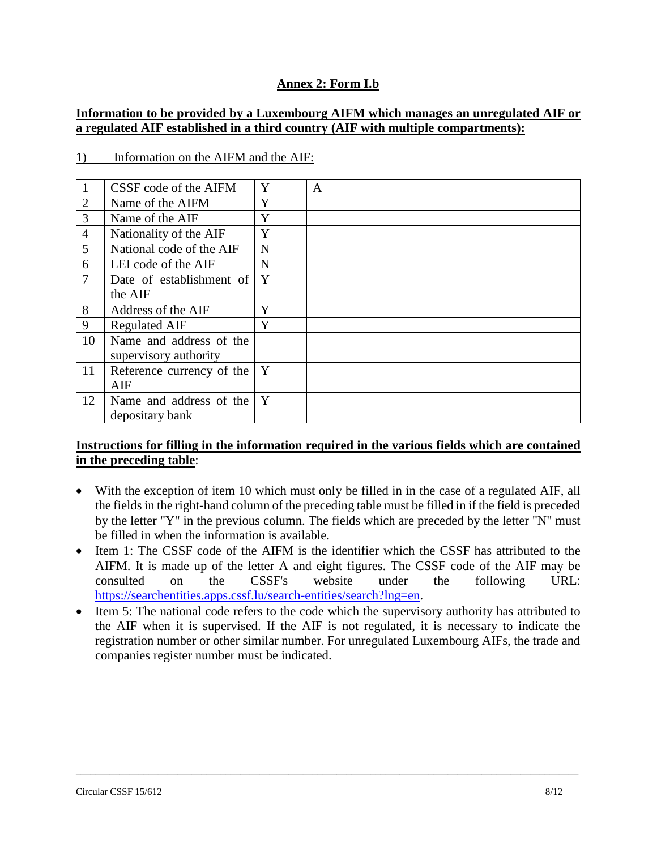# **Annex 2: Form I.b**

## **Information to be provided by a Luxembourg AIFM which manages an unregulated AIF or a regulated AIF established in a third country (AIF with multiple compartments):**

| $\mathbf{1}$   | CSSF code of the AIFM         | Y           | A |
|----------------|-------------------------------|-------------|---|
| 2              | Name of the AIFM              | Y           |   |
| 3              | Name of the AIF               | Y           |   |
| $\overline{4}$ | Nationality of the AIF        | Y           |   |
| 5              | National code of the AIF      | N           |   |
| 6              | LEI code of the AIF           | $\mathbf N$ |   |
| $\overline{7}$ | Date of establishment of      | Y           |   |
|                | the AIF                       |             |   |
| 8              | Address of the AIF            | Y           |   |
| 9              | <b>Regulated AIF</b>          | Y           |   |
| 10             | Name and address of the       |             |   |
|                | supervisory authority         |             |   |
| 11             | Reference currency of the     | Y           |   |
|                | AIF                           |             |   |
| 12             | Name and address of the $ Y $ |             |   |
|                | depositary bank               |             |   |

#### 1) Information on the AIFM and the AIF:

#### **Instructions for filling in the information required in the various fields which are contained in the preceding table**:

- With the exception of item 10 which must only be filled in in the case of a regulated AIF, all the fields in the right-hand column of the preceding table must be filled in if the field is preceded by the letter "Y" in the previous column. The fields which are preceded by the letter "N" must be filled in when the information is available.
- Item 1: The CSSF code of the AIFM is the identifier which the CSSF has attributed to the AIFM. It is made up of the letter A and eight figures. The CSSF code of the AIF may be consulted on the CSSF's website under the following URL: https://searchentities.apps.cssf.lu/search-entities/search?lng=en.
- Item 5: The national code refers to the code which the supervisory authority has attributed to the AIF when it is supervised. If the AIF is not regulated, it is necessary to indicate the registration number or other similar number. For unregulated Luxembourg AIFs, the trade and companies register number must be indicated.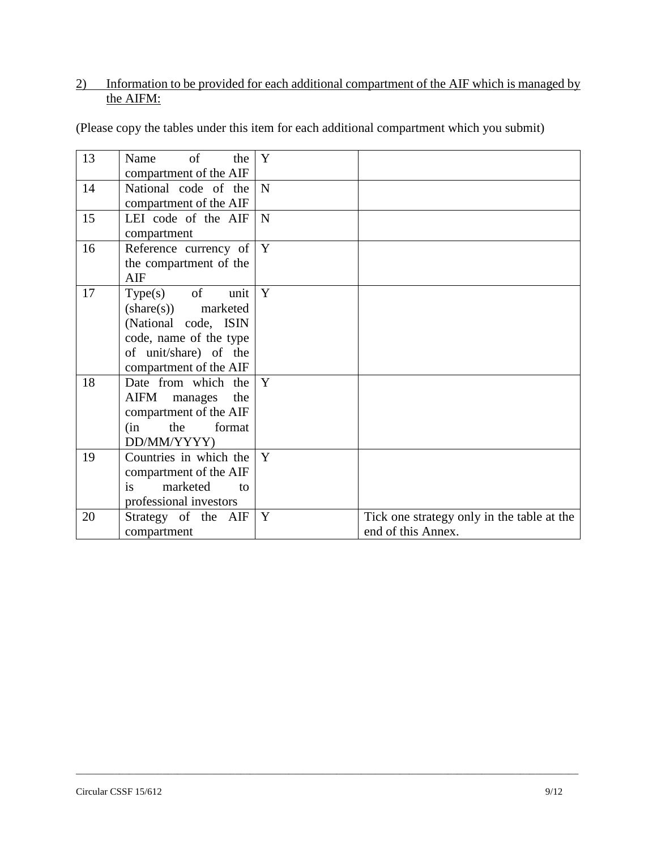# 2) Information to be provided for each additional compartment of the AIF which is managed by the AIFM:

| 13 | of<br>the<br>Name<br>compartment of the AIF                                                                                                        | Y           |                                                                  |
|----|----------------------------------------------------------------------------------------------------------------------------------------------------|-------------|------------------------------------------------------------------|
| 14 | National code of the<br>compartment of the AIF                                                                                                     | $\mathbf N$ |                                                                  |
| 15 | LEI code of the AIF<br>compartment                                                                                                                 | $\mathbf N$ |                                                                  |
| 16 | Reference currency of<br>the compartment of the<br>AIF                                                                                             | Y           |                                                                  |
| 17 | $Type(s)$ of<br>unit<br>$(share(s))$ marketed<br>(National code, ISIN<br>code, name of the type<br>of unit/share) of the<br>compartment of the AIF | Y           |                                                                  |
| 18 | Date from which the<br>AIFM<br>the<br>manages<br>compartment of the AIF<br>format<br>the<br>(in<br>DD/MM/YYYY)                                     | Y           |                                                                  |
| 19 | Countries in which the<br>compartment of the AIF<br>is<br>marketed<br>to<br>professional investors                                                 | Y           |                                                                  |
| 20 | Strategy of the AIF<br>compartment                                                                                                                 | Y           | Tick one strategy only in the table at the<br>end of this Annex. |

\_\_\_\_\_\_\_\_\_\_\_\_\_\_\_\_\_\_\_\_\_\_\_\_\_\_\_\_\_\_\_\_\_\_\_\_\_\_\_\_\_\_\_\_\_\_\_\_\_\_\_\_\_\_\_\_\_\_\_\_\_\_\_\_\_\_\_\_\_\_\_\_\_\_\_\_\_\_\_\_\_\_\_\_\_\_\_\_\_\_\_\_\_\_\_\_\_\_\_\_\_\_\_\_

(Please copy the tables under this item for each additional compartment which you submit)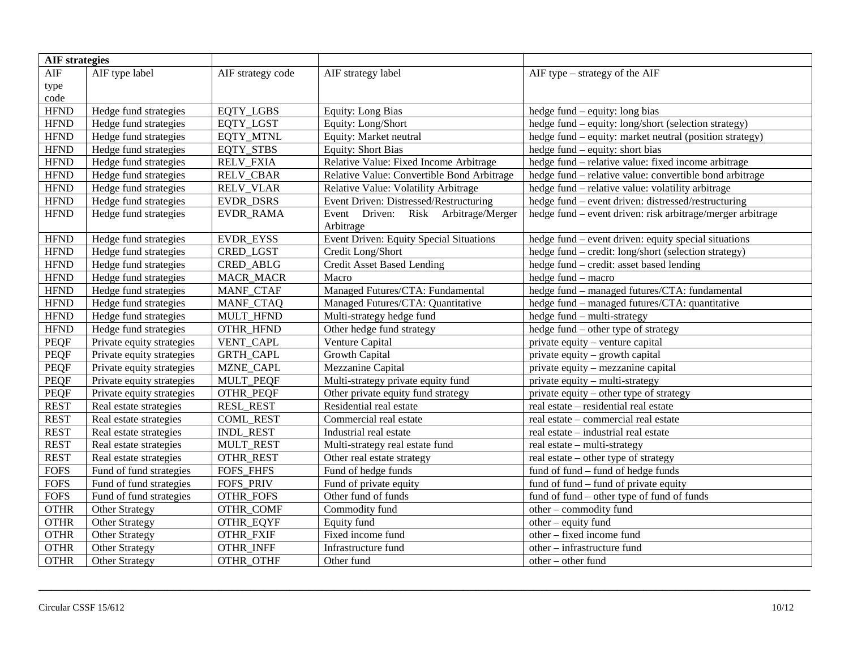| <b>AIF</b> strategies |                           |                   |                                            |                                                            |
|-----------------------|---------------------------|-------------------|--------------------------------------------|------------------------------------------------------------|
| AIF                   | AIF type label            | AIF strategy code | AIF strategy label                         | AIF type – strategy of the AIF                             |
| type                  |                           |                   |                                            |                                                            |
| code                  |                           |                   |                                            |                                                            |
| <b>HFND</b>           | Hedge fund strategies     | EQTY_LGBS         | <b>Equity: Long Bias</b>                   | hedge fund – equity: long bias                             |
| <b>HFND</b>           | Hedge fund strategies     | <b>EQTY LGST</b>  | Equity: Long/Short                         | hedge fund – equity: long/short (selection strategy)       |
| <b>HFND</b>           | Hedge fund strategies     | EQTY_MTNL         | Equity: Market neutral                     | hedge fund - equity: market neutral (position strategy)    |
| <b>HFND</b>           | Hedge fund strategies     | EQTY_STBS         | <b>Equity: Short Bias</b>                  | hedge fund – equity: short bias                            |
| ${\rm HFND}$          | Hedge fund strategies     | <b>RELV_FXIA</b>  | Relative Value: Fixed Income Arbitrage     | hedge fund – relative value: fixed income arbitrage        |
| ${\rm HFND}$          | Hedge fund strategies     | <b>RELV_CBAR</b>  | Relative Value: Convertible Bond Arbitrage | hedge fund – relative value: convertible bond arbitrage    |
| <b>HFND</b>           | Hedge fund strategies     | <b>RELV_VLAR</b>  | Relative Value: Volatility Arbitrage       | hedge fund – relative value: volatility arbitrage          |
| <b>HFND</b>           | Hedge fund strategies     | EVDR_DSRS         | Event Driven: Distressed/Restructuring     | hedge fund – event driven: distressed/restructuring        |
| <b>HFND</b>           | Hedge fund strategies     | EVDR_RAMA         | Event Driven: Risk Arbitrage/Merger        | hedge fund – event driven: risk arbitrage/merger arbitrage |
|                       |                           |                   | Arbitrage                                  |                                                            |
| <b>HFND</b>           | Hedge fund strategies     | <b>EVDR EYSS</b>  | Event Driven: Equity Special Situations    | hedge fund – event driven: equity special situations       |
| $\operatorname{HFND}$ | Hedge fund strategies     | <b>CRED LGST</b>  | Credit Long/Short                          | hedge fund - credit: long/short (selection strategy)       |
| $\operatorname{HFND}$ | Hedge fund strategies     | CRED_ABLG         | <b>Credit Asset Based Lending</b>          | hedge fund – credit: asset based lending                   |
| <b>HFND</b>           | Hedge fund strategies     | <b>MACR_MACR</b>  | Macro                                      | hedge fund - macro                                         |
| <b>HFND</b>           | Hedge fund strategies     | MANF_CTAF         | Managed Futures/CTA: Fundamental           | hedge fund - managed futures/CTA: fundamental              |
| <b>HFND</b>           | Hedge fund strategies     | MANF_CTAQ         | Managed Futures/CTA: Quantitative          | hedge fund – managed futures/CTA: quantitative             |
| <b>HFND</b>           | Hedge fund strategies     | MULT_HFND         | Multi-strategy hedge fund                  | hedge fund - multi-strategy                                |
| <b>HFND</b>           | Hedge fund strategies     | <b>OTHR HFND</b>  | Other hedge fund strategy                  | hedge fund – other type of strategy                        |
| <b>PEQF</b>           | Private equity strategies | VENT_CAPL         | Venture Capital                            | private equity - venture capital                           |
| <b>PEQF</b>           | Private equity strategies | <b>GRTH_CAPL</b>  | <b>Growth Capital</b>                      | private equity - growth capital                            |
| <b>PEQF</b>           | Private equity strategies | MZNE_CAPL         | Mezzanine Capital                          | private equity – mezzanine capital                         |
| PEQF                  | Private equity strategies | MULT_PEQF         | Multi-strategy private equity fund         | private equity – multi-strategy                            |
| <b>PEQF</b>           | Private equity strategies | OTHR_PEQF         | Other private equity fund strategy         | private equity – other type of strategy                    |
| <b>REST</b>           | Real estate strategies    | <b>RESL_REST</b>  | Residential real estate                    | real estate – residential real estate                      |
| <b>REST</b>           | Real estate strategies    | <b>COML REST</b>  | Commercial real estate                     | real estate - commercial real estate                       |
| <b>REST</b>           | Real estate strategies    | <b>INDL REST</b>  | Industrial real estate                     | real estate – industrial real estate                       |
| <b>REST</b>           | Real estate strategies    | MULT_REST         | Multi-strategy real estate fund            | real estate – multi-strategy                               |
| <b>REST</b>           | Real estate strategies    | <b>OTHR_REST</b>  | Other real estate strategy                 | real estate – other type of strategy                       |
| <b>FOFS</b>           | Fund of fund strategies   | FOFS_FHFS         | Fund of hedge funds                        | fund of fund – fund of hedge funds                         |
| <b>FOFS</b>           | Fund of fund strategies   | FOFS_PRIV         | Fund of private equity                     | fund of fund – fund of private equity                      |
| <b>FOFS</b>           | Fund of fund strategies   | <b>OTHR_FOFS</b>  | Other fund of funds                        | fund of fund – other type of fund of funds                 |
| <b>OTHR</b>           | Other Strategy            | OTHR_COMF         | Commodity fund                             | other - commodity fund                                     |
| <b>OTHR</b>           | Other Strategy            | OTHR_EQYF         | Equity fund                                | $other - equity$ fund                                      |
| <b>OTHR</b>           | Other Strategy            | OTHR_FXIF         | Fixed income fund                          | other – fixed income fund                                  |
| <b>OTHR</b>           | Other Strategy            | <b>OTHR_INFF</b>  | Infrastructure fund                        | other - infrastructure fund                                |
| <b>OTHR</b>           | <b>Other Strategy</b>     | OTHR OTHF         | Other fund                                 | other - other fund                                         |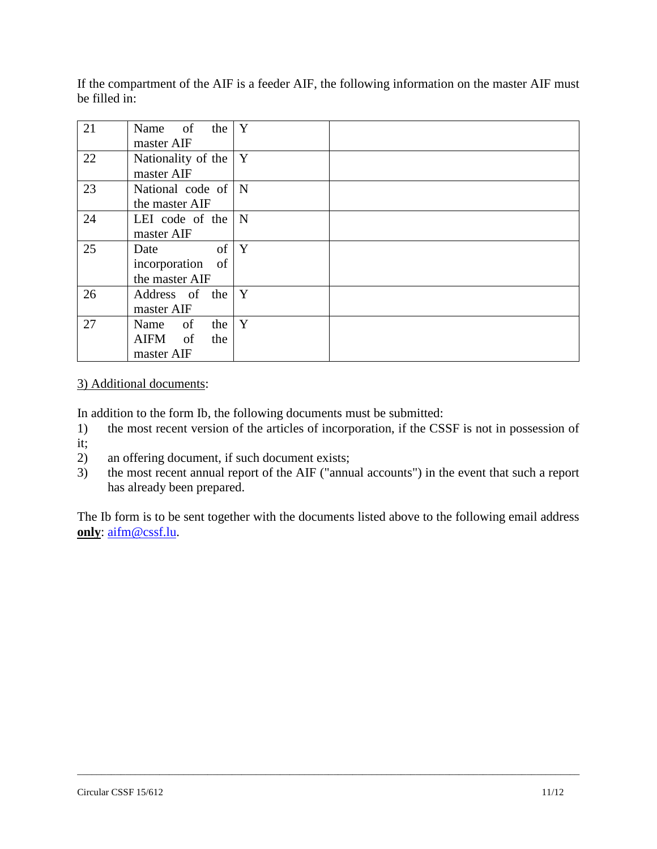If the compartment of the AIF is a feeder AIF, the following information on the master AIF must be filled in:

| 21 | Name of the $Y$                 |   |  |
|----|---------------------------------|---|--|
|    | master AIF                      |   |  |
| 22 | Nationality of the $ Y $        |   |  |
|    | master AIF                      |   |  |
| 23 | National code of N              |   |  |
|    | the master AIF                  |   |  |
| 24 | LEI code of the $\vert N \vert$ |   |  |
|    | master AIF                      |   |  |
| 25 | $of \mid$<br>Date               | Y |  |
|    | incorporation of                |   |  |
|    | the master AIF                  |   |  |
| 26 | Address of the $Y$              |   |  |
|    | master AIF                      |   |  |
| 27 | Name of<br>the                  | Y |  |
|    | <sub>of</sub><br>AIFM<br>the    |   |  |
|    | master AIF                      |   |  |

## 3) Additional documents:

In addition to the form Ib, the following documents must be submitted:

- 1) the most recent version of the articles of incorporation, if the CSSF is not in possession of
- it;
- 2) an offering document, if such document exists;
- 3) the most recent annual report of the AIF ("annual accounts") in the event that such a report has already been prepared.

The Ib form is to be sent together with the documents listed above to the following email address **only**: [aifm@cssf.lu.](mailto:aifm@cssf.lu)